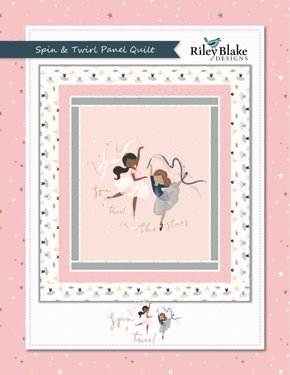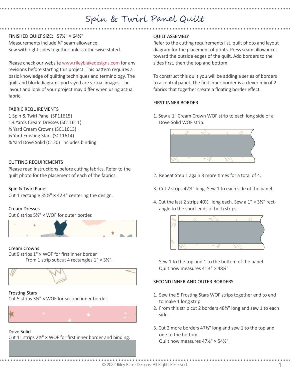# Spin & Twirl Panel Quilt

## FINISHED QUILT SIZE: 57½" × 64½"

Measurements include ¼" seam allowance. Sew with right sides together unless otherwise stated.

Please check our website www.rileyblakedesigns.com for any revisions before starting this project. This pattern requires a basic knowledge of quilting techniques and terminology. The quilt and block diagrams portrayed are virtual images. The layout and look of your project may differ when using actual fabric.

#### FABRIC REQUIREMENTS

1 Spin & Twirl Panel (SP11615) 1⅛ Yards Cream Dresses (SC11611) ⅓ Yard Cream Crowns (SC11613) ⅝ Yard Frosting Stars (SC11614) ⅞ Yard Dove Solid (C120) includes binding

## CUTTING REQUIREMENTS

Please read instructions before cutting fabrics. Refer to the quilt photo for the placement of each of the fabrics.

## Spin & Twirl Panel

Cut 1 rectangle  $35\frac{1}{2}$  × 42 $\frac{1}{2}$ " centering the design.

## Cream Dresses

Cut 6 strips 5½" × WOF for outer border.



## Cream Crowns

Cut 9 strips 1" × WOF for first inner border. From 1 strip subcut 4 rectangles  $1'' \times 3\frac{1}{2}''$ .



#### Frosting Stars

Cut 5 strips 3½" × WOF for second inner border.



#### Dove Solid

Cut 11 strips 2½" × WOF for first inner border and binding.

## QUILT ASSEMBLY

Refer to the cutting requirements list, quilt photo and layout diagram for the placement of prints. Press seam allowances toward the outside edges of the quilt. Add borders to the sides first, then the top and bottom.

To construct this quilt you will be adding a series of borders to a central panel. The first inner border is a clever mix of 2 fabrics that together create a floating border effect.

## FIRST INNER BORDER

1. Sew a 1" Cream Crown WOF strip to each long side of a Dove Solid WOF strip.



- 2. Repeat Step 1 again 3 more times for a total of 4.
- 3. Cut 2 strips 42½" long. Sew 1 to each side of the panel.
- 4. Cut the last 2 strips 40½" long each. Sew a 1" × 3½" rectangle to the short ends of both strips.



Sew 1 to the top and 1 to the bottom of the panel. Quilt now measures 41½" × 48½".

## SECOND INNER AND OUTER BORDERS

- 1. Sew the 5 Frosting Stars WOF strips together end to end to make 1 long strip.
- 2. From this strip cut 2 borders 48½" long and sew 1 to each side.
- 3. Cut 2 more borders 47½" long and sew 1 to the top and one to the bottom. Quilt now measures 47½" × 54½".